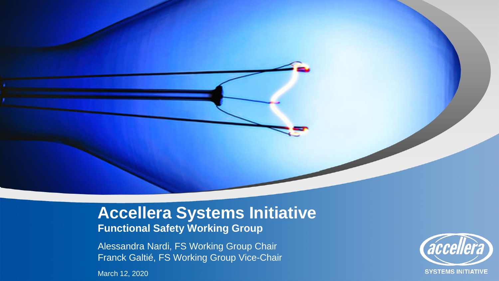### **Accellera Systems Initiative Functional Safety Working Group**

Alessandra Nardi, FS Working Group Chair Franck Galtié, FS Working Group Vice-Chair

March 12, 2020

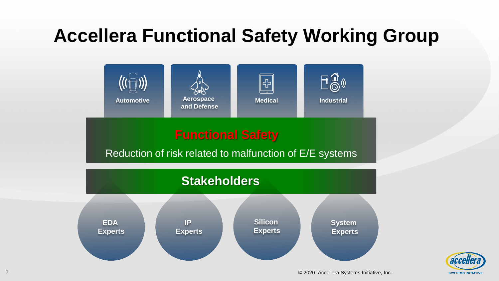### **Accellera Functional Safety Working Group**



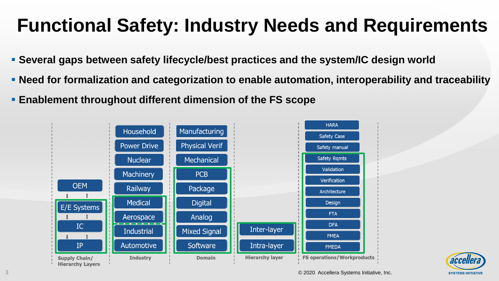# **Functional Safety: Industry Needs and Requirements**

- **EXEL Several gaps between safety lifecycle/best practices and the system/IC design world**
- **Need for formalization and categorization to enable automation, interoperability and traceability**
- **Enablement throughout different dimension of the FS scope**



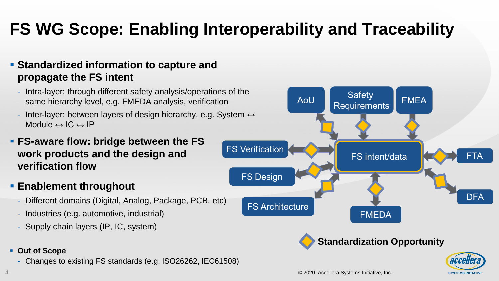## **FS WG Scope: Enabling Interoperability and Traceability**

#### ▪ **Standardized information to capture and propagate the FS intent**

- Intra-layer: through different safety analysis/operations of the same hierarchy level, e.g. FMEDA analysis, verification
- Inter-layer: between layers of design hierarchy, e.g. System  $\leftrightarrow$ Module  $\leftrightarrow$  IC  $\leftrightarrow$  IP

### ▪ **FS-aware flow: bridge between the FS work products and the design and verification flow**

### ▪ **Enablement throughout**

- Different domains (Digital, Analog, Package, PCB, etc)
- Industries (e.g. automotive, industrial)
- Supply chain layers (IP, IC, system)
- **Out of Scope**
	- Changes to existing FS standards (e.g. ISO26262, IEC61508)